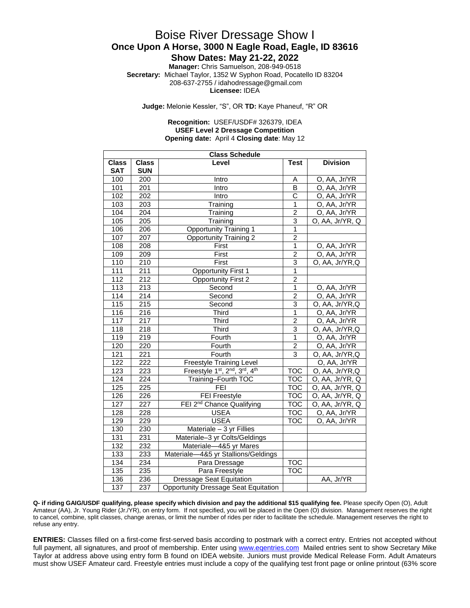### Boise River Dressage Show I **Once Upon A Horse, 3000 N Eagle Road, Eagle, ID 83616**

**Show Dates: May 21-22, 2022**

**Manager:** Chris Samuelson, 208-949-0518 **Secretary:** Michael Taylor, 1352 W Syphon Road, Pocatello ID 83204 208-637-2755 / idahodressage@gmail.com **Licensee:** IDEA

**Judge:** Melonie Kessler, "S", OR **TD:** Kaye Phaneuf, "R" OR

#### **Recognition:** USEF/USDF# 326379, IDEA **USEF Level 2 Dressage Competition Opening date:** April 4 **Closing date**: May 12

| <b>Class Schedule</b> |                  |                                             |                         |                               |  |
|-----------------------|------------------|---------------------------------------------|-------------------------|-------------------------------|--|
| <b>Class</b>          | <b>Class</b>     | Level                                       | <b>Test</b>             | <b>Division</b>               |  |
| <b>SAT</b>            | <b>SUN</b>       |                                             |                         |                               |  |
| 100                   | 200              | Intro                                       | Α                       | O, AA, Jr/YR                  |  |
| 101                   | 201              | Intro                                       | B                       | O, AA, Jr/YR                  |  |
| 102                   | $\overline{202}$ | Intro                                       | C                       | O, AA, Jr/YR                  |  |
| 103                   | $\overline{203}$ | Training                                    | $\mathbf{1}$            | O, AA, Jr/YR                  |  |
| 104                   | $\overline{204}$ | Training                                    | $\overline{2}$          | O, AA, Jr/YR                  |  |
| 105                   | $\overline{205}$ | Training                                    | 3                       | O, AA, Jr/YR, Q               |  |
| 106                   | 206              | <b>Opportunity Training 1</b>               | $\overline{1}$          |                               |  |
| 107                   | 207              | Opportunity Training 2                      | $\overline{2}$          |                               |  |
| 108                   | 208              | First                                       | $\overline{1}$          | O, AA, Jr/YR                  |  |
| 109                   | $\overline{209}$ | First                                       | $\overline{2}$          | O, AA, Jr/YR                  |  |
| 110                   | 210              | First                                       | $\overline{3}$          | O, AA, Jr/YR,Q                |  |
| 111                   | $\overline{211}$ | <b>Opportunity First 1</b>                  | 1                       |                               |  |
| 112                   | 212              | <b>Opportunity First 2</b>                  | $\overline{c}$          |                               |  |
| 113                   | $\overline{213}$ | Second                                      | $\overline{1}$          | O, AA, Jr/YR                  |  |
| 114                   | $\overline{214}$ | Second                                      | $\overline{2}$          | O, AA, Jr/YR                  |  |
| 115                   | $\overline{215}$ | Second                                      | $\overline{3}$          | O, AA, Jr/YR,Q                |  |
| 116                   | $\frac{1}{216}$  | Third                                       | $\overline{1}$          | O, AA, Jr/YR                  |  |
| 117                   | $\overline{217}$ | <b>Third</b>                                | $\overline{2}$          | O, AA, Jr/YR                  |  |
| 118                   | 218              | <b>Third</b>                                | 3                       | $\overline{O}$ , AA, Jr/YR, Q |  |
| 119                   | $\overline{219}$ | Fourth                                      | $\overline{1}$          | O, AA, Jr/YR                  |  |
| 120                   | 220              | Fourth                                      | $\overline{2}$          | O, AA, Jr/YR                  |  |
| 121                   | $\overline{221}$ | Fourth                                      | 3                       | O, AA, Jr/YR,Q                |  |
| 122                   | $\overline{222}$ | <b>Freestyle Training Level</b>             |                         | O, AA, Jr/YR                  |  |
| 123                   | 223              | Freestyle 1st, 2nd, 3rd, 4th                | $\overline{\text{TOC}}$ | O, AA, Jr/YR,Q                |  |
| 124                   | $\overline{224}$ | Training-Fourth TOC                         | <b>TOC</b>              | O, AA, Jr/YR, Q               |  |
| 125                   | 225              | FEI                                         | <b>TOC</b>              | O, AA, Jr/YR, Q               |  |
| 126                   | 226              | <b>FEI Freestyle</b>                        | <b>TOC</b>              | O, AA, Jr/YR, Q               |  |
| 127                   | $\overline{227}$ | FEI 2 <sup>nd</sup> Chance Qualifying       | <b>TOC</b>              | O, AA, Jr/YR, Q               |  |
| 128                   | $\overline{228}$ | <b>USEA</b>                                 | <b>TOC</b>              | O, AA, Jr/YR                  |  |
| 129                   | 229              | <b>USEA</b>                                 | <b>TOC</b>              | O, AA, Jr/YR                  |  |
| 130                   | 230              | Materiale $-\overline{3}$ yr Fillies        |                         |                               |  |
| $\overline{131}$      | 231              | Materiale-3 yr Colts/Geldings               |                         |                               |  |
| 132                   | 232              | Materiale-4&5 yr Mares                      |                         |                               |  |
| 133                   | 233              | Materiale-4&5 yr Stallions/Geldings         |                         |                               |  |
| 134                   | 234              | Para Dressage                               | $\overline{\text{TOC}}$ |                               |  |
| 135                   | 235              | Para Freestyle                              | <b>TOC</b>              |                               |  |
| 136                   | 236              | <b>Dressage Seat Equitation</b>             |                         | AA, Jr/YR                     |  |
| 137                   | 237              | <b>Opportunity Dressage Seat Equitation</b> |                         |                               |  |

**Q- if riding GAIG/USDF qualifying, please specify which division and pay the additional \$15 qualifying fee.** Please specify Open (O), Adult Amateur (AA), Jr. Young Rider (Jr./YR), on entry form. If not specified, you will be placed in the Open (O) division. Management reserves the right to cancel, combine, split classes, change arenas, or limit the number of rides per rider to facilitate the schedule. Management reserves the right to refuse any entry.

**ENTRIES:** Classes filled on a first-come first-served basis according to postmark with a correct entry. Entries not accepted without full payment, all signatures, and proof of membership. Enter using [www.eqentries.com](http://www.eqentries.com/) Mailed entries sent to show Secretary Mike Taylor at address above using entry form B found on IDEA website. Juniors must provide Medical Release Form. Adult Amateurs must show USEF Amateur card. Freestyle entries must include a copy of the qualifying test front page or online printout (63% score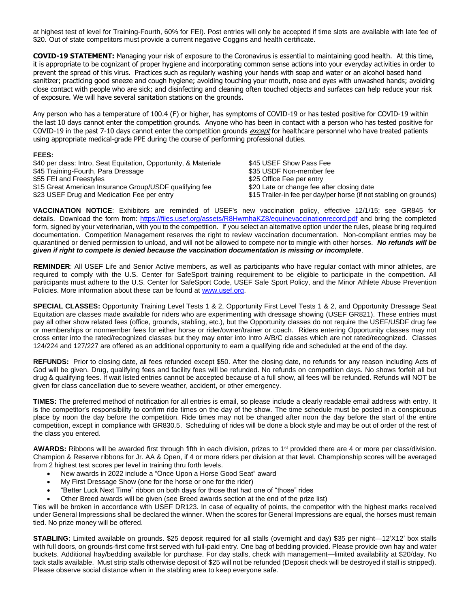at highest test of level for Training-Fourth, 60% for FEI). Post entries will only be accepted if time slots are available with late fee of \$20. Out of state competitors must provide a current negative Coggins and health certificate.

**COVID-19 STATEMENT:** Managing your risk of exposure to the Coronavirus is essential to maintaining good health. At this time, it is appropriate to be cognizant of proper hygiene and incorporating common sense actions into your everyday activities in order to prevent the spread of this virus. Practices such as regularly washing your hands with soap and water or an alcohol based hand sanitizer; practicing good sneeze and cough hygiene; avoiding touching your mouth, nose and eyes with unwashed hands; avoiding close contact with people who are sick; and disinfecting and cleaning often touched objects and surfaces can help reduce your risk of exposure. We will have several sanitation stations on the grounds.

Any person who has a temperature of 100.4 (F) or higher, has symptoms of COVID-19 or has tested positive for COVID-19 within the last 10 days cannot enter the competition grounds. Anyone who has been in contact with a person who has tested positive for COVID-19 in the past 7-10 days cannot enter the competition grounds except for healthcare personnel who have treated patients using appropriate medical-grade PPE during the course of performing professional duties.

#### **FEES:**

| \$40 per class: Intro, Seat Equitation, Opportunity, & Materiale | \$45 USEF Show Pass Fee                                            |
|------------------------------------------------------------------|--------------------------------------------------------------------|
| \$45 Training-Fourth, Para Dressage                              | \$35 USDF Non-member fee                                           |
| \$55 FEI and Freestyles                                          | \$25 Office Fee per entry                                          |
| \$15 Great American Insurance Group/USDF qualifying fee          | \$20 Late or change fee after closing date                         |
| \$23 USEF Drug and Medication Fee per entry                      | \$15 Trailer-in fee per day/per horse (if not stabling on grounds) |

**VACCINATION NOTICE**: Exhibitors are reminded of USEF's new vaccination policy, effective 12/1/15; see GR845 for details. Download the form from:<https://files.usef.org/assets/R8HwrnhaKZ8/equinevaccinationrecord.pdf> and bring the completed form, signed by your veterinarian, with you to the competition. If you select an alternative option under the rules, please bring required documentation. Competition Management reserves the right to review vaccination documentation. Non-compliant entries may be quarantined or denied permission to unload, and will not be allowed to compete nor to mingle with other horses. *No refunds will be given if right to compete is denied because the vaccination documentation is missing or incomplete*.

**REMINDER**: All USEF Life and Senior Active members, as well as participants who have regular contact with minor athletes, are required to comply with the U.S. Center for SafeSport training requirement to be eligible to participate in the competition. All participants must adhere to the U.S. Center for SafeSport Code, USEF Safe Sport Policy, and the Minor Athlete Abuse Prevention Policies. More information about these can be found at [www.usef.org.](http://www.usef.org/)

**SPECIAL CLASSES:** Opportunity Training Level Tests 1 & 2, Opportunity First Level Tests 1 & 2, and Opportunity Dressage Seat Equitation are classes made available for riders who are experimenting with dressage showing (USEF GR821). These entries must pay all other show related fees (office, grounds, stabling, etc.), but the Opportunity classes do not require the USEF/USDF drug fee or memberships or nonmember fees for either horse or rider/owner/trainer or coach. Riders entering Opportunity classes may not cross enter into the rated/recognized classes but they may enter into Intro A/B/C classes which are not rated/recognized. Classes 124/224 and 127/227 are offered as an additional opportunity to earn a qualifying ride and scheduled at the end of the day.

**REFUNDS:** Prior to closing date, all fees refunded except \$50. After the closing date, no refunds for any reason including Acts of God will be given. Drug, qualifying fees and facility fees will be refunded. No refunds on competition days. No shows forfeit all but drug & qualifying fees. If wait listed entries cannot be accepted because of a full show, all fees will be refunded. Refunds will NOT be given for class cancellation due to severe weather, accident, or other emergency.

**TIMES:** The preferred method of notification for all entries is email, so please include a clearly readable email address with entry. It is the competitor's responsibility to confirm ride times on the day of the show. The time schedule must be posted in a conspicuous place by noon the day before the competition. Ride times may not be changed after noon the day before the start of the entire competition, except in compliance with GR830.5. Scheduling of rides will be done a block style and may be out of order of the rest of the class you entered.

**AWARDS:** Ribbons will be awarded first through fifth in each division, prizes to 1<sup>st</sup> provided there are 4 or more per class/division. Champion & Reserve ribbons for Jr. AA & Open, if 4 or more riders per division at that level. Championship scores will be averaged from 2 highest test scores per level in training thru forth levels.

- New awards in 2022 include a "Once Upon a Horse Good Seat" award
- My First Dressage Show (one for the horse or one for the rider)
- "Better Luck Next Time" ribbon on both days for those that had one of "those" rides
- Other Breed awards will be given (see Breed awards section at the end of the prize list)

Ties will be broken in accordance with USEF DR123. In case of equality of points, the competitor with the highest marks received under General Impressions shall be declared the winner. When the scores for General Impressions are equal, the horses must remain tied. No prize money will be offered.

**STABLING:** Limited available on grounds. \$25 deposit required for all stalls (overnight and day) \$35 per night—12'X12' box stalls with full doors, on grounds-first come first served with full-paid entry. One bag of bedding provided. Please provide own hay and water buckets. Additional hay/bedding available for purchase. For day stalls, check with management—limited availability at \$20/day. No tack stalls available. Must strip stalls otherwise deposit of \$25 will not be refunded (Deposit check will be destroyed if stall is stripped). Please observe social distance when in the stabling area to keep everyone safe.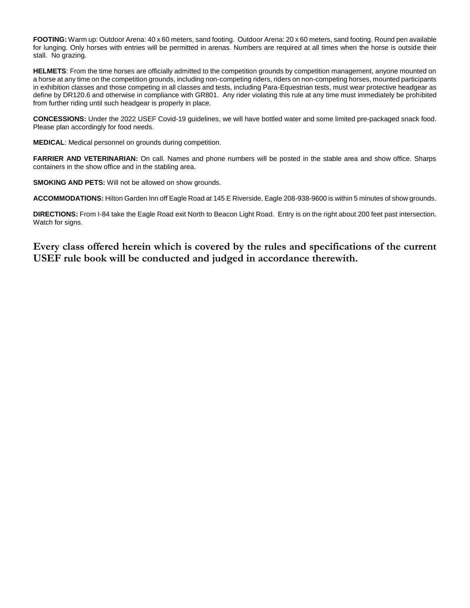**FOOTING:** Warm up: Outdoor Arena: 40 x 60 meters, sand footing. Outdoor Arena: 20 x 60 meters, sand footing. Round pen available for lunging. Only horses with entries will be permitted in arenas. Numbers are required at all times when the horse is outside their stall. No grazing.

**HELMETS**: From the time horses are officially admitted to the competition grounds by competition management, anyone mounted on a horse at any time on the competition grounds, including non-competing riders, riders on non-competing horses, mounted participants in exhibition classes and those competing in all classes and tests, including Para-Equestrian tests, must wear protective headgear as define by DR120.6 and otherwise in compliance with GR801. Any rider violating this rule at any time must immediately be prohibited from further riding until such headgear is properly in place.

**CONCESSIONS:** Under the 2022 USEF Covid-19 guidelines, we will have bottled water and some limited pre-packaged snack food. Please plan accordingly for food needs.

**MEDICAL**: Medical personnel on grounds during competition.

**FARRIER AND VETERINARIAN:** On call. Names and phone numbers will be posted in the stable area and show office. Sharps containers in the show office and in the stabling area.

**SMOKING AND PETS:** Will not be allowed on show grounds.

**ACCOMMODATIONS:** Hilton Garden Inn off Eagle Road at 145 E Riverside, Eagle 208-938-9600 is within 5 minutes of show grounds.

**DIRECTIONS:** From I-84 take the Eagle Road exit North to Beacon Light Road. Entry is on the right about 200 feet past intersection. Watch for signs.

**Every class offered herein which is covered by the rules and specifications of the current USEF rule book will be conducted and judged in accordance therewith.**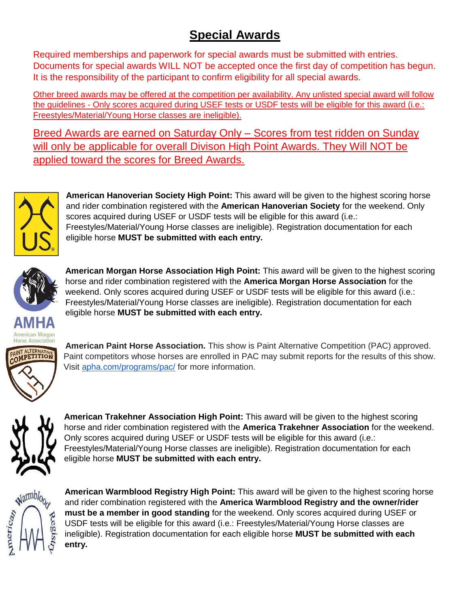## **Special Awards**

Required memberships and paperwork for special awards must be submitted with entries. Documents for special awards WILL NOT be accepted once the first day of competition has begun. It is the responsibility of the participant to confirm eligibility for all special awards.

Other breed awards may be offered at the competition per availability. Any unlisted special award will follow the guidelines - Only scores acquired during USEF tests or USDF tests will be eligible for this award (i.e.: Freestyles/Material/Young Horse classes are ineligible).

Breed Awards are earned on Saturday Only – Scores from test ridden on Sunday will only be applicable for overall Divison High Point Awards. They Will NOT be applied toward the scores for Breed Awards.



**American Hanoverian Society High Point:** This award will be given to the highest scoring horse and rider combination registered with the **American Hanoverian Society** for the weekend. Only scores acquired during USEF or USDF tests will be eligible for this award (i.e.: Freestyles/Material/Young Horse classes are ineligible). Registration documentation for each eligible horse **MUST be submitted with each entry.**



American Morgan

**American Morgan Horse Association High Point:** This award will be given to the highest scoring horse and rider combination registered with the **America Morgan Horse Association** for the weekend. Only scores acquired during USEF or USDF tests will be eligible for this award (i.e.: Freestyles/Material/Young Horse classes are ineligible). Registration documentation for each eligible horse **MUST be submitted with each entry.**



**American Paint Horse Association.** This show is Paint Alternative Competition (PAC) approved. Paint competitors whose horses are enrolled in PAC may submit reports for the results of this show. Visit [apha.com/programs/pac/](http://apha.com/programs/pac/) for more information.



**American Trakehner Association High Point:** This award will be given to the highest scoring horse and rider combination registered with the **America Trakehner Association** for the weekend. Only scores acquired during USEF or USDF tests will be eligible for this award (i.e.: Freestyles/Material/Young Horse classes are ineligible). Registration documentation for each eligible horse **MUST be submitted with each entry.**



**American Warmblood Registry High Point:** This award will be given to the highest scoring horse and rider combination registered with the **America Warmblood Registry and the owner/rider must be a member in good standing** for the weekend. Only scores acquired during USEF or USDF tests will be eligible for this award (i.e.: Freestyles/Material/Young Horse classes are ineligible). Registration documentation for each eligible horse **MUST be submitted with each entry.**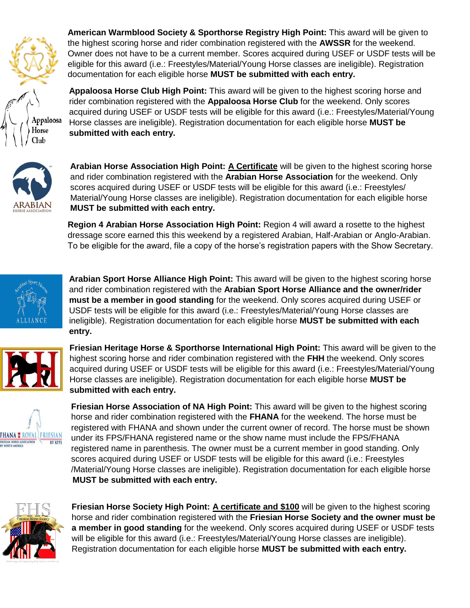

**American Warmblood Society & Sporthorse Registry High Point:** This award will be given to the highest scoring horse and rider combination registered with the **AWSSR** for the weekend. Owner does not have to be a current member. Scores acquired during USEF or USDF tests will be eligible for this award (i.e.: Freestyles/Material/Young Horse classes are ineligible). Registration documentation for each eligible horse **MUST be submitted with each entry.** 

**Appaloosa Horse Club High Point:** This award will be given to the highest scoring horse and rider combination registered with the **Appaloosa Horse Club** for the weekend. Only scores acquired during USEF or USDF tests will be eligible for this award (i.e.: Freestyles/Material/Young Horse classes are ineligible). Registration documentation for each eligible horse **MUST be submitted with each entry.**



**Arabian Horse Association High Point: A Certificate** will be given to the highest scoring horse and rider combination registered with the **Arabian Horse Association** for the weekend. Only scores acquired during USEF or USDF tests will be eligible for this award (i.e.: Freestyles/ Material/Young Horse classes are ineligible). Registration documentation for each eligible horse **MUST be submitted with each entry.**

**Region 4 Arabian Horse Association High Point:** Region 4 will award a rosette to the highest dressage score earned this this weekend by a registered Arabian, Half-Arabian or Anglo-Arabian. To be eligible for the award, file a copy of the horse's registration papers with the Show Secretary.



**Arabian Sport Horse Alliance High Point:** This award will be given to the highest scoring horse and rider combination registered with the **Arabian Sport Horse Alliance and the owner/rider must be a member in good standing** for the weekend. Only scores acquired during USEF or USDF tests will be eligible for this award (i.e.: Freestyles/Material/Young Horse classes are ineligible). Registration documentation for each eligible horse **MUST be submitted with each entry.** 





**Friesian Heritage Horse & Sporthorse International High Point:** This award will be given to the highest scoring horse and rider combination registered with the **FHH** the weekend. Only scores acquired during USEF or USDF tests will be eligible for this award (i.e.: Freestyles/Material/Young Horse classes are ineligible). Registration documentation for each eligible horse **MUST be submitted with each entry.** 

**Friesian Horse Association of NA High Point:** This award will be given to the highest scoring horse and rider combination registered with the **FHANA** for the weekend. The horse must be registered with FHANA and shown under the current owner of record. The horse must be shown under its FPS/FHANA registered name or the show name must include the FPS/FHANA registered name in parenthesis. The owner must be a current member in good standing. Only scores acquired during USEF or USDF tests will be eligible for this award (i.e.: Freestyles /Material/Young Horse classes are ineligible). Registration documentation for each eligible horse **MUST be submitted with each entry.** 



**Friesian Horse Society High Point: A certificate and \$100** will be given to the highest scoring horse and rider combination registered with the **Friesian Horse Society and the owner must be a member in good standing** for the weekend. Only scores acquired during USEF or USDF tests will be eligible for this award (i.e.: Freestyles/Material/Young Horse classes are ineligible). Registration documentation for each eligible horse **MUST be submitted with each entry.**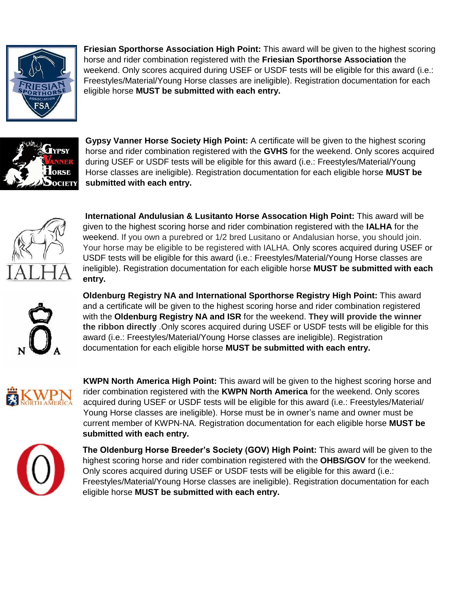

**Friesian Sporthorse Association High Point:** This award will be given to the highest scoring horse and rider combination registered with the **Friesian Sporthorse Association** the weekend. Only scores acquired during USEF or USDF tests will be eligible for this award (i.e.: Freestyles/Material/Young Horse classes are ineligible). Registration documentation for each eligible horse **MUST be submitted with each entry.** 



**Gypsy Vanner Horse Society High Point:** A certificate will be given to the highest scoring horse and rider combination registered with the **GVHS** for the weekend. Only scores acquired during USEF or USDF tests will be eligible for this award (i.e.: Freestyles/Material/Young Horse classes are ineligible). Registration documentation for each eligible horse **MUST be submitted with each entry.**



**International Andulusian & Lusitanto Horse Assocation High Point:** This award will be given to the highest scoring horse and rider combination registered with the **IALHA** for the weekend. If you own a purebred or 1/2 bred Lusitano or Andalusian horse, you should join. Your horse may be eligible to be registered with IALHA. Only scores acquired during USEF or USDF tests will be eligible for this award (i.e.: Freestyles/Material/Young Horse classes are ineligible). Registration documentation for each eligible horse **MUST be submitted with each entry.**

**Oldenburg Registry NA and International Sporthorse Registry High Point:** This award and a certificate will be given to the highest scoring horse and rider combination registered with the **Oldenburg Registry NA and ISR** for the weekend. **They will provide the winner the ribbon directly** .Only scores acquired during USEF or USDF tests will be eligible for this award (i.e.: Freestyles/Material/Young Horse classes are ineligible). Registration documentation for each eligible horse **MUST be submitted with each entry.**



**KWPN North America High Point:** This award will be given to the highest scoring horse and rider combination registered with the **KWPN North America** for the weekend. Only scores acquired during USEF or USDF tests will be eligible for this award (i.e.: Freestyles/Material/ Young Horse classes are ineligible). Horse must be in owner's name and owner must be current member of KWPN-NA. Registration documentation for each eligible horse **MUST be submitted with each entry.**



**The Oldenburg Horse Breeder's Society (GOV) High Point:** This award will be given to the highest scoring horse and rider combination registered with the **OHBS/GOV** for the weekend. Only scores acquired during USEF or USDF tests will be eligible for this award (i.e.: Freestyles/Material/Young Horse classes are ineligible). Registration documentation for each eligible horse **MUST be submitted with each entry.**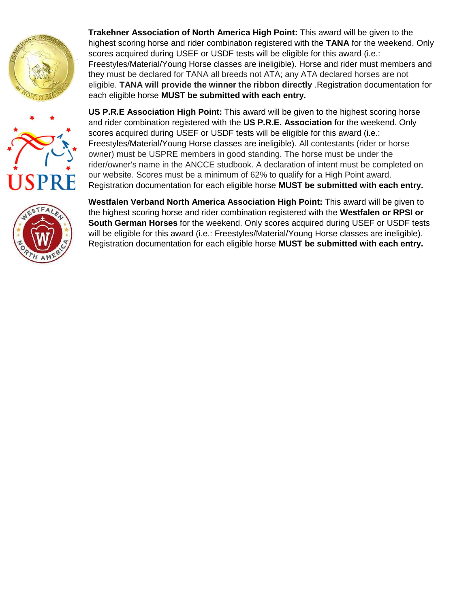



**Trakehner Association of North America High Point:** This award will be given to the highest scoring horse and rider combination registered with the **TANA** for the weekend. Only scores acquired during USEF or USDF tests will be eligible for this award (i.e.: Freestyles/Material/Young Horse classes are ineligible). Horse and rider must members and they must be declared for TANA all breeds not ATA; any ATA declared horses are not eligible. **TANA will provide the winner the ribbon directly** .Registration documentation for each eligible horse **MUST be submitted with each entry.**

scores acquired during USEF or USDF tests will be eligible for this award (i.e.: Freestyles/Material/Young Horse classes are ineligible). All contestants (rider or horse owner) must be USPRE members in good standing. The horse must be under the rider/owner's name in the ANCCE studbook. A declaration of intent must be completed on our website. Scores must be a minimum of 62% to qualify for a High Point award. Registration documentation for each eligible horse **MUST be submitted with each entry. Westfalen Verband North America Association High Point:** This award will be given to

**US P.R.E Association High Point:** This award will be given to the highest scoring horse and rider combination registered with the **US P.R.E. Association** for the weekend. Only



the highest scoring horse and rider combination registered with the **Westfalen or RPSI or South German Horses** for the weekend. Only scores acquired during USEF or USDF tests will be eligible for this award (i.e.: Freestyles/Material/Young Horse classes are ineligible). Registration documentation for each eligible horse **MUST be submitted with each entry.**